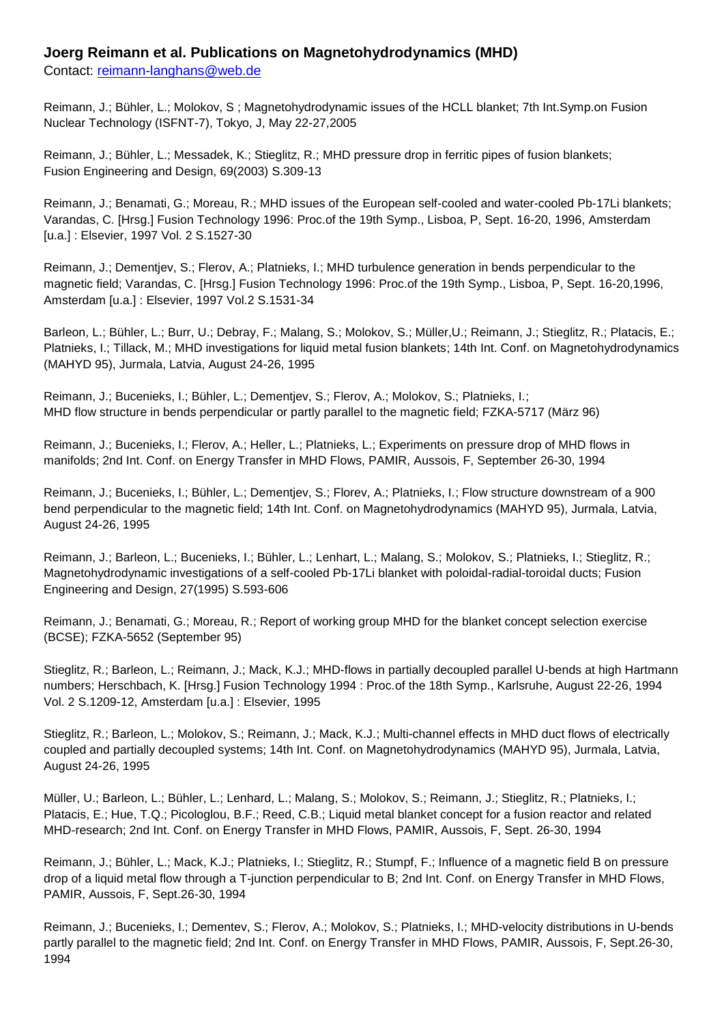## **Joerg Reimann et al. Publications on Magnetohydrodynamics (MHD)**

Contact: [reimann-langhans@web.de](mailto:reimann-langhans@web.de)

Reimann, J.; Bühler, L.; Molokov, S ; Magnetohydrodynamic issues of the HCLL blanket; 7th Int.Symp.on Fusion Nuclear Technology (ISFNT-7), Tokyo, J, May 22-27,2005

Reimann, J.; Bühler, L.; Messadek, K.; Stieglitz, R.; MHD pressure drop in ferritic pipes of fusion blankets; Fusion Engineering and Design, 69(2003) S.309-13

Reimann, J.; Benamati, G.; Moreau, R.; MHD issues of the European self-cooled and water-cooled Pb-17Li blankets; Varandas, C. [Hrsg.] Fusion Technology 1996: Proc.of the 19th Symp., Lisboa, P, Sept. 16-20, 1996, Amsterdam [u.a.] : Elsevier, 1997 Vol. 2 S.1527-30

Reimann, J.; Dementjev, S.; Flerov, A.; Platnieks, I.; MHD turbulence generation in bends perpendicular to the magnetic field; Varandas, C. [Hrsg.] Fusion Technology 1996: Proc.of the 19th Symp., Lisboa, P, Sept. 16-20,1996, Amsterdam [u.a.] : Elsevier, 1997 Vol.2 S.1531-34

Barleon, L.; Bühler, L.; Burr, U.; Debray, F.; Malang, S.; Molokov, S.; Müller,U.; Reimann, J.; Stieglitz, R.; Platacis, E.; Platnieks, I.; Tillack, M.; MHD investigations for liquid metal fusion blankets; 14th Int. Conf. on Magnetohydrodynamics (MAHYD 95), Jurmala, Latvia, August 24-26, 1995

Reimann, J.; Bucenieks, I.; Bühler, L.; Dementjev, S.; Flerov, A.; Molokov, S.; Platnieks, I.; MHD flow structure in bends perpendicular or partly parallel to the magnetic field; FZKA-5717 (März 96)

Reimann, J.; Bucenieks, I.; Flerov, A.; Heller, L.; Platnieks, L.; Experiments on pressure drop of MHD flows in manifolds; 2nd Int. Conf. on Energy Transfer in MHD Flows, PAMIR, Aussois, F, September 26-30, 1994

Reimann, J.; Bucenieks, I.; Bühler, L.; Dementjev, S.; Florev, A.; Platnieks, I.; Flow structure downstream of a 900 bend perpendicular to the magnetic field; 14th Int. Conf. on Magnetohydrodynamics (MAHYD 95), Jurmala, Latvia, August 24-26, 1995

Reimann, J.; Barleon, L.; Bucenieks, I.; Bühler, L.; Lenhart, L.; Malang, S.; Molokov, S.; Platnieks, I.; Stieglitz, R.; Magnetohydrodynamic investigations of a self-cooled Pb-17Li blanket with poloidal-radial-toroidal ducts; Fusion Engineering and Design, 27(1995) S.593-606

Reimann, J.; Benamati, G.; Moreau, R.; Report of working group MHD for the blanket concept selection exercise (BCSE); FZKA-5652 (September 95)

Stieglitz, R.; Barleon, L.; Reimann, J.; Mack, K.J.; MHD-flows in partially decoupled parallel U-bends at high Hartmann numbers; Herschbach, K. [Hrsg.] Fusion Technology 1994 : Proc.of the 18th Symp., Karlsruhe, August 22-26, 1994 Vol. 2 S.1209-12, Amsterdam [u.a.] : Elsevier, 1995

Stieglitz, R.; Barleon, L.; Molokov, S.; Reimann, J.; Mack, K.J.; Multi-channel effects in MHD duct flows of electrically coupled and partially decoupled systems; 14th Int. Conf. on Magnetohydrodynamics (MAHYD 95), Jurmala, Latvia, August 24-26, 1995

Müller, U.; Barleon, L.; Bühler, L.; Lenhard, L.; Malang, S.; Molokov, S.; Reimann, J.; Stieglitz, R.; Platnieks, I.; Platacis, E.; Hue, T.Q.; Picologlou, B.F.; Reed, C.B.; Liquid metal blanket concept for a fusion reactor and related MHD-research; 2nd Int. Conf. on Energy Transfer in MHD Flows, PAMIR, Aussois, F, Sept. 26-30, 1994

Reimann, J.; Bühler, L.; Mack, K.J.; Platnieks, I.; Stieglitz, R.; Stumpf, F.; Influence of a magnetic field B on pressure drop of a liquid metal flow through a T-junction perpendicular to B; 2nd Int. Conf. on Energy Transfer in MHD Flows, PAMIR, Aussois, F, Sept.26-30, 1994

Reimann, J.; Bucenieks, I.; Dementev, S.; Flerov, A.; Molokov, S.; Platnieks, I.; MHD-velocity distributions in U-bends partly parallel to the magnetic field; 2nd Int. Conf. on Energy Transfer in MHD Flows, PAMIR, Aussois, F, Sept.26-30, 1994